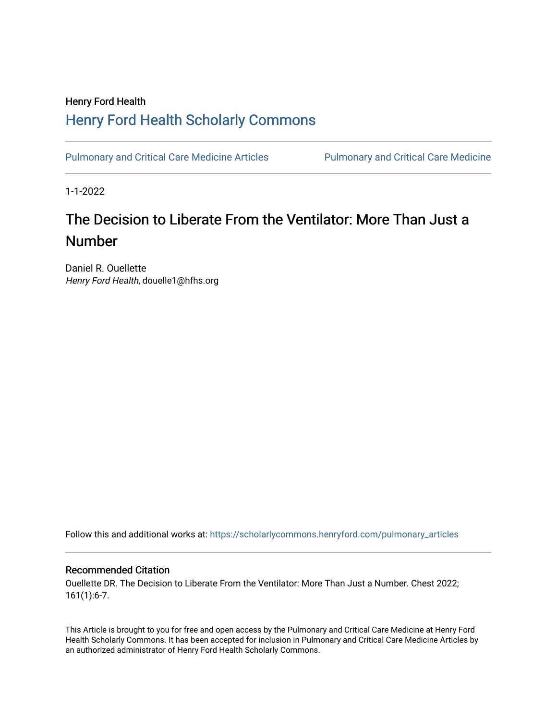### Henry Ford Health [Henry Ford Health Scholarly Commons](https://scholarlycommons.henryford.com/)

[Pulmonary and Critical Care Medicine Articles](https://scholarlycommons.henryford.com/pulmonary_articles) Pulmonary and Critical Care Medicine

1-1-2022

## The Decision to Liberate From the Ventilator: More Than Just a Number

Daniel R. Ouellette Henry Ford Health, douelle1@hfhs.org

Follow this and additional works at: [https://scholarlycommons.henryford.com/pulmonary\\_articles](https://scholarlycommons.henryford.com/pulmonary_articles?utm_source=scholarlycommons.henryford.com%2Fpulmonary_articles%2F138&utm_medium=PDF&utm_campaign=PDFCoverPages)

### Recommended Citation

Ouellette DR. The Decision to Liberate From the Ventilator: More Than Just a Number. Chest 2022; 161(1):6-7.

This Article is brought to you for free and open access by the Pulmonary and Critical Care Medicine at Henry Ford Health Scholarly Commons. It has been accepted for inclusion in Pulmonary and Critical Care Medicine Articles by an authorized administrator of Henry Ford Health Scholarly Commons.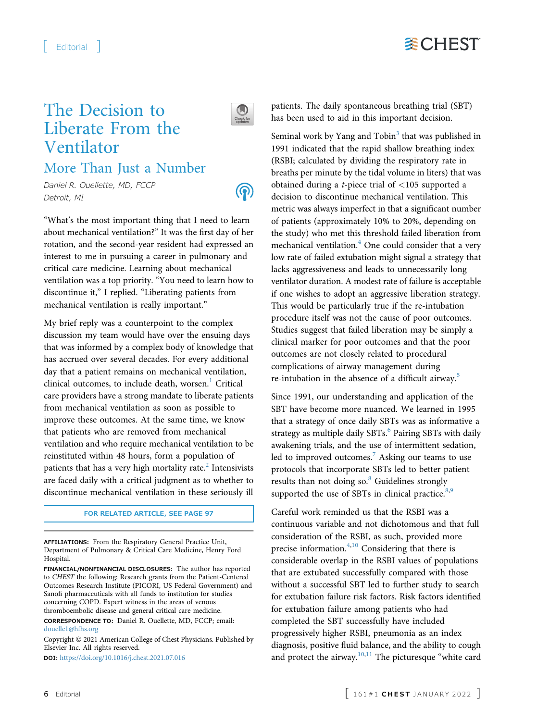# **WCHEST**

## The Decision to Liberate From the Ventilator



 $\circledS$ 

### More Than Just a Number

Daniel R. Ouellette, MD, FCCP Detroit, MI

"What's the most important thing that I need to learn about mechanical ventilation?" It was the first day of her rotation, and the second-year resident had expressed an interest to me in pursuing a career in pulmonary and critical care medicine. Learning about mechanical ventilation was a top priority. "You need to learn how to discontinue it," I replied. "Liberating patients from mechanical ventilation is really important."

My brief reply was a counterpoint to the complex discussion my team would have over the ensuing days that was informed by a complex body of knowledge that has accrued over several decades. For every additional day that a patient remains on mechanical ventilation, clinical outcomes, to include death, worsen. $1$  Critical care providers have a strong mandate to liberate patients from mechanical ventilation as soon as possible to improve these outcomes. At the same time, we know that patients who are removed from mechanical ventilation and who require mechanical ventilation to be reinstituted within 48 hours, form a population of patients that has a very high mortality rate. ${}^{2}$  ${}^{2}$  ${}^{2}$  Intensivists are faced daily with a critical judgment as to whether to discontinue mechanical ventilation in these seriously ill

#### FOR RELATED ARTICLE, SEE PAGE 97

AFFILIATIONS: From the Respiratory General Practice Unit, Department of Pulmonary & Critical Care Medicine, Henry Ford Hospital.

FINANCIAL/NONFINANCIAL DISCLOSURES: The author has reported to CHEST the following: Research grants from the Patient-Centered Outcomes Research Institute (PICORI, US Federal Government) and Sanofi pharmaceuticals with all funds to institution for studies concerning COPD. Expert witness in the areas of venous thromboembolic disease and general critical care medicine.

CORRESPONDENCE TO: Daniel R. Ouellette, MD, FCCP; email: [douelle1@hfhs.org](mailto:douelle1@hfhs.org)

Copyright © 2021 American College of Chest Physicians. Published by Elsevier Inc. All rights reserved.

DOI: <https://doi.org/10.1016/j.chest.2021.07.016>

patients. The daily spontaneous breathing trial (SBT) has been used to aid in this important decision.

Seminal work by Yang and  $Tobin<sup>3</sup>$  $Tobin<sup>3</sup>$  $Tobin<sup>3</sup>$  that was published in 1991 indicated that the rapid shallow breathing index (RSBI; calculated by dividing the respiratory rate in breaths per minute by the tidal volume in liters) that was obtained during a *t*-piece trial of  $\langle 105 \text{ supported a}$ decision to discontinue mechanical ventilation. This metric was always imperfect in that a significant number of patients (approximately 10% to 20%, depending on the study) who met this threshold failed liberation from mechanical ventilation.<sup>[4](#page-2-3)</sup> One could consider that a very low rate of failed extubation might signal a strategy that lacks aggressiveness and leads to unnecessarily long ventilator duration. A modest rate of failure is acceptable if one wishes to adopt an aggressive liberation strategy. This would be particularly true if the re-intubation procedure itself was not the cause of poor outcomes. Studies suggest that failed liberation may be simply a clinical marker for poor outcomes and that the poor outcomes are not closely related to procedural complications of airway management during re-intubation in the absence of a difficult airway.<sup>[5](#page-2-4)</sup>

Since 1991, our understanding and application of the SBT have become more nuanced. We learned in 1995 that a strategy of once daily SBTs was as informative a strategy as multiple daily SBTs.<sup>[6](#page-2-5)</sup> Pairing SBTs with daily awakening trials, and the use of intermittent sedation, led to improved outcomes.<sup>[7](#page-2-6)</sup> Asking our teams to use protocols that incorporate SBTs led to better patient results than not doing so.<sup>[8](#page-2-7)</sup> Guidelines strongly supported the use of SBTs in clinical practice. $8,9$  $8,9$  $8,9$ 

Careful work reminded us that the RSBI was a continuous variable and not dichotomous and that full consideration of the RSBI, as such, provided more precise information.<sup>[4](#page-2-3)[,10](#page-2-9)</sup> Considering that there is considerable overlap in the RSBI values of populations that are extubated successfully compared with those without a successful SBT led to further study to search for extubation failure risk factors. Risk factors identified for extubation failure among patients who had completed the SBT successfully have included progressively higher RSBI, pneumonia as an index diagnosis, positive fluid balance, and the ability to cough and protect the airway. $10,11$  $10,11$  $10,11$  The picturesque "white card